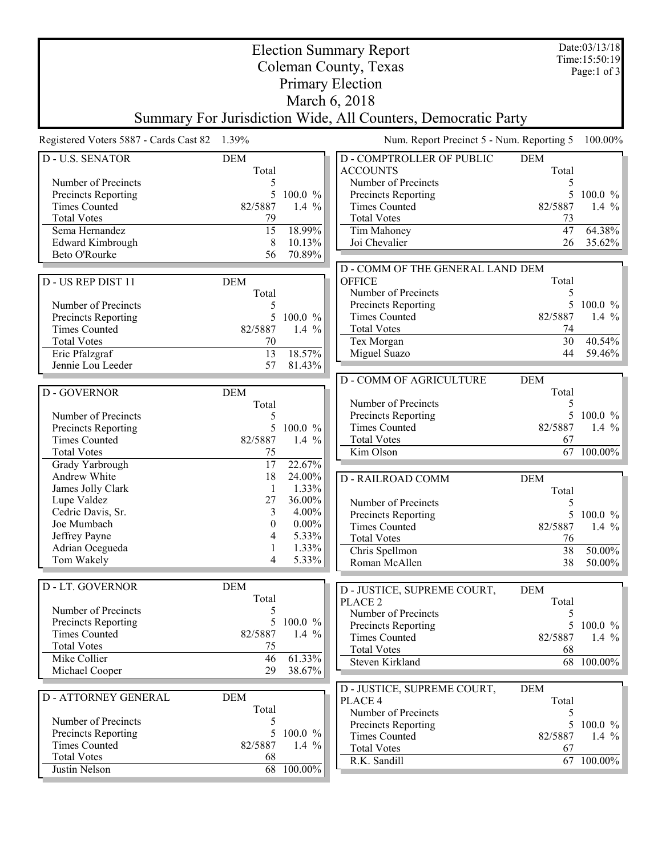| <b>Election Summary Report</b>                                |                     |            |                                                   |                     | Date:03/13/18<br>Time: 15:50:19 |  |  |  |  |
|---------------------------------------------------------------|---------------------|------------|---------------------------------------------------|---------------------|---------------------------------|--|--|--|--|
| Coleman County, Texas                                         |                     |            |                                                   |                     | Page:1 of $3$                   |  |  |  |  |
| <b>Primary Election</b>                                       |                     |            |                                                   |                     |                                 |  |  |  |  |
| March 6, 2018                                                 |                     |            |                                                   |                     |                                 |  |  |  |  |
| Summary For Jurisdiction Wide, All Counters, Democratic Party |                     |            |                                                   |                     |                                 |  |  |  |  |
| Registered Voters 5887 - Cards Cast 82 1.39%                  |                     |            | Num. Report Precinct 5 - Num. Reporting 5         |                     | 100.00%                         |  |  |  |  |
| <b>D-U.S. SENATOR</b>                                         | <b>DEM</b><br>Total |            | <b>D-COMPTROLLER OF PUBLIC</b><br><b>ACCOUNTS</b> | <b>DEM</b><br>Total |                                 |  |  |  |  |
| Number of Precincts                                           | 5                   |            | Number of Precincts                               | 5                   |                                 |  |  |  |  |
| Precincts Reporting                                           | 5                   | 100.0 %    | Precincts Reporting                               | 5                   | $100.0 \%$                      |  |  |  |  |
| <b>Times Counted</b>                                          | 82/5887             | 1.4 $%$    | <b>Times Counted</b>                              | 82/5887             | 1.4 $%$                         |  |  |  |  |
| <b>Total Votes</b>                                            | 79                  |            | <b>Total Votes</b>                                | 73                  |                                 |  |  |  |  |
| Sema Hernandez                                                | 15                  | 18.99%     | Tim Mahoney                                       | $\overline{47}$     | 64.38%                          |  |  |  |  |
| <b>Edward Kimbrough</b>                                       | 8                   | 10.13%     | Joi Chevalier                                     | 26                  | 35.62%                          |  |  |  |  |
| Beto O'Rourke                                                 | 56                  | 70.89%     |                                                   |                     |                                 |  |  |  |  |
|                                                               |                     |            | D - COMM OF THE GENERAL LAND DEM                  |                     |                                 |  |  |  |  |
| D - US REP DIST 11                                            | <b>DEM</b>          |            | <b>OFFICE</b>                                     | Total               |                                 |  |  |  |  |
|                                                               | Total               |            | Number of Precincts<br>Precincts Reporting        | 5<br>5              | $100.0 \%$                      |  |  |  |  |
| Number of Precincts<br>Precincts Reporting                    | 5<br>5              | 100.0 %    | <b>Times Counted</b>                              | 82/5887             | 1.4 $%$                         |  |  |  |  |
| <b>Times Counted</b>                                          | 82/5887             | 1.4 $%$    | <b>Total Votes</b>                                | 74                  |                                 |  |  |  |  |
| <b>Total Votes</b>                                            | 70                  |            | Tex Morgan                                        | 30                  | 40.54%                          |  |  |  |  |
| Eric Pfalzgraf                                                | 13                  | 18.57%     | Miguel Suazo                                      | 44                  | 59.46%                          |  |  |  |  |
| Jennie Lou Leeder                                             | 57                  | 81.43%     |                                                   |                     |                                 |  |  |  |  |
|                                                               |                     |            | <b>D - COMM OF AGRICULTURE</b>                    | <b>DEM</b>          |                                 |  |  |  |  |
| D - GOVERNOR                                                  | <b>DEM</b>          |            |                                                   | Total               |                                 |  |  |  |  |
|                                                               | Total               |            | Number of Precincts                               | 5                   |                                 |  |  |  |  |
| Number of Precincts                                           | 5                   |            | Precincts Reporting                               |                     | $100.0 \%$                      |  |  |  |  |
| <b>Precincts Reporting</b>                                    | 5                   | 100.0 %    | <b>Times Counted</b>                              | 82/5887             | 1.4 $%$                         |  |  |  |  |
| <b>Times Counted</b>                                          | 82/5887             | 1.4 $%$    | <b>Total Votes</b>                                | 67                  |                                 |  |  |  |  |
| <b>Total Votes</b>                                            | 75<br>17            | 22.67%     | Kim Olson                                         |                     | 67 100.00%                      |  |  |  |  |
| Grady Yarbrough<br>Andrew White                               | 18                  | 24.00%     |                                                   |                     |                                 |  |  |  |  |
| James Jolly Clark                                             | 1                   | 1.33%      | <b>D-RAILROAD COMM</b>                            | <b>DEM</b><br>Total |                                 |  |  |  |  |
| Lupe Valdez                                                   | 27                  | 36.00%     | Number of Precincts                               | 5                   |                                 |  |  |  |  |
| Cedric Davis, Sr.                                             | 3                   | 4.00%      | Precincts Reporting                               | 5                   | $100.0 \%$                      |  |  |  |  |
| Joe Mumbach                                                   | $\boldsymbol{0}$    | $0.00\%$   | <b>Times Counted</b>                              | 82/5887             | 1.4 $%$                         |  |  |  |  |
| Jeffrey Payne                                                 | 4                   | 5.33%      | <b>Total Votes</b>                                | 76                  |                                 |  |  |  |  |
| Adrian Ocegueda                                               | 1                   | 1.33%      | Chris Spellmon                                    | 38                  | $50.00\%$                       |  |  |  |  |
| Tom Wakely                                                    | 4                   | 5.33%      | Roman McAllen                                     | 38                  | $50.00\%$                       |  |  |  |  |
|                                                               |                     |            |                                                   |                     |                                 |  |  |  |  |
| D - LT. GOVERNOR                                              | <b>DEM</b>          |            | D - JUSTICE, SUPREME COURT,                       | <b>DEM</b>          |                                 |  |  |  |  |
| Number of Precincts                                           | Total               |            | PLACE <sub>2</sub>                                | Total               |                                 |  |  |  |  |
| Precincts Reporting                                           | 5<br>5              | 100.0 %    | Number of Precincts                               | 5                   |                                 |  |  |  |  |
| <b>Times Counted</b>                                          | 82/5887             | 1.4 $%$    | Precincts Reporting                               |                     | 5 100.0 $\%$                    |  |  |  |  |
| <b>Total Votes</b>                                            | 75                  |            | <b>Times Counted</b><br><b>Total Votes</b>        | 82/5887<br>68       | 1.4 $\%$                        |  |  |  |  |
| Mike Collier                                                  | 46                  | 61.33%     | Steven Kirkland                                   |                     | 68 100.00%                      |  |  |  |  |
| Michael Cooper                                                | 29                  | 38.67%     |                                                   |                     |                                 |  |  |  |  |
|                                                               |                     |            |                                                   | <b>DEM</b>          |                                 |  |  |  |  |
| <b>D-ATTORNEY GENERAL</b>                                     | <b>DEM</b>          |            | D - JUSTICE, SUPREME COURT,<br>PLACE 4            | Total               |                                 |  |  |  |  |
|                                                               | Total               |            | Number of Precincts                               | 5.                  |                                 |  |  |  |  |
| Number of Precincts                                           | 5                   |            | Precincts Reporting                               | 5                   | $100.0 \%$                      |  |  |  |  |
| <b>Precincts Reporting</b>                                    | 5                   | $100.0 \%$ | <b>Times Counted</b>                              | 82/5887             | 1.4 $\%$                        |  |  |  |  |
| <b>Times Counted</b>                                          | 82/5887             | 1.4 $%$    | <b>Total Votes</b>                                | 67                  |                                 |  |  |  |  |
| <b>Total Votes</b>                                            | 68                  |            | R.K. Sandill                                      |                     | 67 100.00%                      |  |  |  |  |
| Justin Nelson                                                 | 68                  | 100.00%    |                                                   |                     |                                 |  |  |  |  |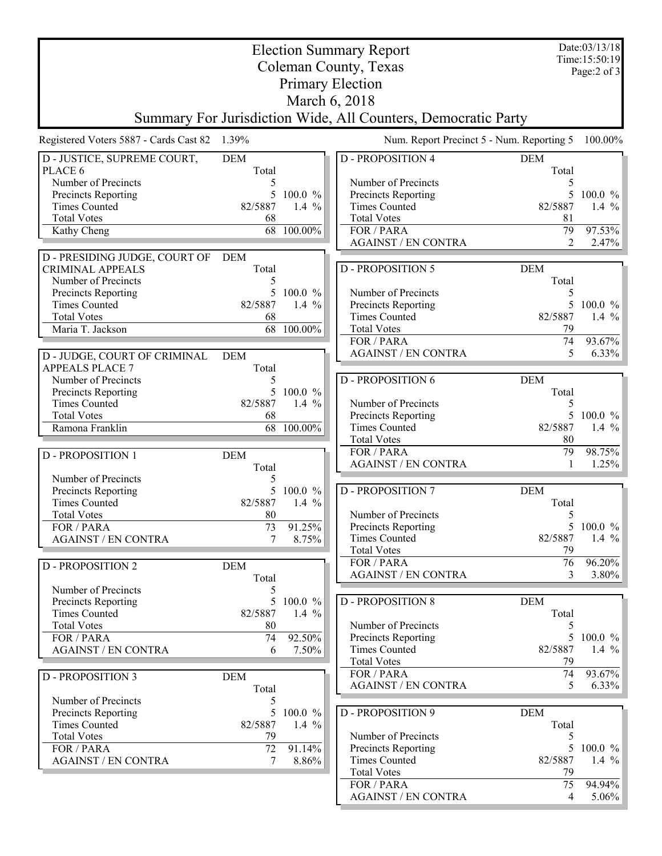| <b>Election Summary Report</b>                                |              |                    |                                           |                      |                 |  |  |  |  |  |
|---------------------------------------------------------------|--------------|--------------------|-------------------------------------------|----------------------|-----------------|--|--|--|--|--|
| Coleman County, Texas                                         |              |                    |                                           |                      |                 |  |  |  |  |  |
| Page:2 of 3<br><b>Primary Election</b>                        |              |                    |                                           |                      |                 |  |  |  |  |  |
| March 6, 2018                                                 |              |                    |                                           |                      |                 |  |  |  |  |  |
| Summary For Jurisdiction Wide, All Counters, Democratic Party |              |                    |                                           |                      |                 |  |  |  |  |  |
| Registered Voters 5887 - Cards Cast 82 1.39%                  |              |                    | Num. Report Precinct 5 - Num. Reporting 5 |                      | 100.00%         |  |  |  |  |  |
| D - JUSTICE, SUPREME COURT,                                   | <b>DEM</b>   |                    | <b>D-PROPOSITION 4</b>                    | <b>DEM</b>           |                 |  |  |  |  |  |
| PLACE 6                                                       | Total        |                    |                                           | Total                |                 |  |  |  |  |  |
| Number of Precincts                                           | 5            |                    | Number of Precincts                       | 5                    |                 |  |  |  |  |  |
| Precincts Reporting                                           | 5.           | $100.0 \%$         | Precincts Reporting                       | 5                    | $100.0 \%$      |  |  |  |  |  |
| <b>Times Counted</b>                                          | 82/5887      | 1.4 $%$            | <b>Times Counted</b>                      | 82/5887              | 1.4 $%$         |  |  |  |  |  |
| <b>Total Votes</b>                                            | 68<br>68     | $100.00\%$         | <b>Total Votes</b>                        | 81                   |                 |  |  |  |  |  |
| Kathy Cheng                                                   |              |                    | FOR / PARA<br><b>AGAINST / EN CONTRA</b>  | 79<br>$\overline{2}$ | 97.53%<br>2.47% |  |  |  |  |  |
| D - PRESIDING JUDGE, COURT OF                                 | <b>DEM</b>   |                    |                                           |                      |                 |  |  |  |  |  |
| <b>CRIMINAL APPEALS</b>                                       | Total        |                    | <b>D-PROPOSITION 5</b>                    | <b>DEM</b>           |                 |  |  |  |  |  |
| Number of Precincts                                           | 5            |                    |                                           | Total                |                 |  |  |  |  |  |
| Precincts Reporting                                           | 5            | 100.0 %            | Number of Precincts                       | 5                    |                 |  |  |  |  |  |
| <b>Times Counted</b>                                          | 82/5887      | 1.4 $%$            | Precincts Reporting                       | 5                    | 100.0 %         |  |  |  |  |  |
| <b>Total Votes</b>                                            | 68           |                    | <b>Times Counted</b>                      | 82/5887              | 1.4 $%$         |  |  |  |  |  |
| Maria T. Jackson                                              |              | 68 100.00%         | <b>Total Votes</b>                        | 79                   |                 |  |  |  |  |  |
|                                                               |              |                    | FOR / PARA<br><b>AGAINST / EN CONTRA</b>  | 74<br>5              | 93.67%<br>6.33% |  |  |  |  |  |
| D - JUDGE, COURT OF CRIMINAL                                  | <b>DEM</b>   |                    |                                           |                      |                 |  |  |  |  |  |
| <b>APPEALS PLACE 7</b><br>Number of Precincts                 | Total<br>5   |                    | <b>D-PROPOSITION 6</b>                    | <b>DEM</b>           |                 |  |  |  |  |  |
| Precincts Reporting                                           |              | 5 100.0 %          |                                           | Total                |                 |  |  |  |  |  |
| <b>Times Counted</b>                                          | 82/5887      | 1.4 $%$            | Number of Precincts                       | 5                    |                 |  |  |  |  |  |
| <b>Total Votes</b>                                            | 68           |                    | Precincts Reporting                       |                      | $100.0 \%$      |  |  |  |  |  |
| Ramona Franklin                                               | 68           | 100.00%            | <b>Times Counted</b>                      | 82/5887              | 1.4 $%$         |  |  |  |  |  |
|                                                               |              |                    | <b>Total Votes</b>                        | 80                   |                 |  |  |  |  |  |
| <b>D-PROPOSITION 1</b>                                        | <b>DEM</b>   |                    | FOR / PARA                                | 79                   | 98.75%          |  |  |  |  |  |
|                                                               | Total        |                    | <b>AGAINST / EN CONTRA</b>                | 1                    | 1.25%           |  |  |  |  |  |
| Number of Precincts                                           | 5<br>5       |                    | <b>D-PROPOSITION 7</b>                    | <b>DEM</b>           |                 |  |  |  |  |  |
| Precincts Reporting<br><b>Times Counted</b>                   | 82/5887      | 100.0 %<br>1.4 $%$ |                                           | Total                |                 |  |  |  |  |  |
| <b>Total Votes</b>                                            | 80           |                    | Number of Precincts                       | 5                    |                 |  |  |  |  |  |
| FOR / PARA                                                    | 73           | 91.25%             | Precincts Reporting                       |                      | 5 100.0 %       |  |  |  |  |  |
| <b>AGAINST / EN CONTRA</b>                                    | 7            | 8.75%              | <b>Times Counted</b>                      | 82/5887              | 1.4 $%$         |  |  |  |  |  |
|                                                               |              |                    | <b>Total Votes</b>                        | 79                   |                 |  |  |  |  |  |
| <b>D - PROPOSITION 2</b>                                      | <b>DEM</b>   |                    | FOR / PARA                                | 76                   | 96.20%          |  |  |  |  |  |
|                                                               | Total        |                    | <b>AGAINST / EN CONTRA</b>                | 3                    | 3.80%           |  |  |  |  |  |
| Number of Precincts                                           | 5            |                    |                                           |                      |                 |  |  |  |  |  |
| Precincts Reporting<br><b>Times Counted</b>                   | 5<br>82/5887 | 100.0 %<br>1.4 $%$ | <b>D-PROPOSITION 8</b>                    | <b>DEM</b><br>Total  |                 |  |  |  |  |  |
| <b>Total Votes</b>                                            | 80           |                    | Number of Precincts                       | 5                    |                 |  |  |  |  |  |
| FOR / PARA                                                    | 74           | 92.50%             | Precincts Reporting                       | 5                    | $100.0 \%$      |  |  |  |  |  |
| <b>AGAINST / EN CONTRA</b>                                    | 6            | 7.50%              | <b>Times Counted</b>                      | 82/5887              | 1.4 $%$         |  |  |  |  |  |
|                                                               |              |                    | <b>Total Votes</b>                        | 79                   |                 |  |  |  |  |  |
| <b>D - PROPOSITION 3</b>                                      | <b>DEM</b>   |                    | FOR / PARA                                | 74                   | 93.67%          |  |  |  |  |  |
|                                                               | Total        |                    | <b>AGAINST / EN CONTRA</b>                | 5                    | 6.33%           |  |  |  |  |  |
| Number of Precincts                                           | 5            |                    |                                           |                      |                 |  |  |  |  |  |
| Precincts Reporting<br><b>Times Counted</b>                   | 5<br>82/5887 | 100.0 %<br>1.4 $%$ | <b>D-PROPOSITION 9</b>                    | <b>DEM</b><br>Total  |                 |  |  |  |  |  |
| <b>Total Votes</b>                                            | 79           |                    | Number of Precincts                       | 5                    |                 |  |  |  |  |  |
| FOR / PARA                                                    | 72           | 91.14%             | Precincts Reporting                       | 5                    | $100.0 \%$      |  |  |  |  |  |
| <b>AGAINST / EN CONTRA</b>                                    | 7            | 8.86%              | <b>Times Counted</b>                      | 82/5887              | 1.4 $%$         |  |  |  |  |  |
|                                                               |              |                    | <b>Total Votes</b>                        | 79                   |                 |  |  |  |  |  |
|                                                               |              |                    | FOR / PARA                                | 75                   | 94.94%          |  |  |  |  |  |
|                                                               |              |                    | <b>AGAINST / EN CONTRA</b>                | 4                    | $5.06\%$        |  |  |  |  |  |